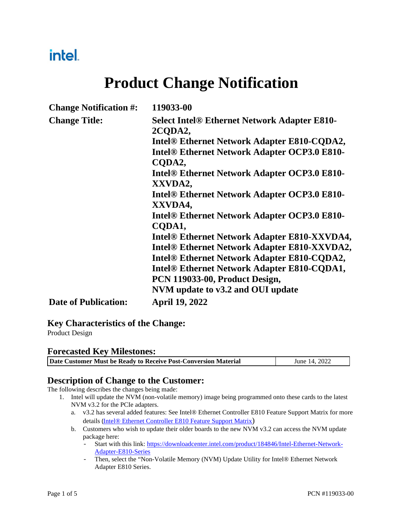## intel.

## **Product Change Notification**

| <b>Change Notification #:</b> | 119033-00                                                      |
|-------------------------------|----------------------------------------------------------------|
| <b>Change Title:</b>          | <b>Select Intel® Ethernet Network Adapter E810-</b><br>2CODA2, |
|                               |                                                                |
|                               | Intel® Ethernet Network Adapter E810-CQDA2,                    |
|                               | <b>Intel® Ethernet Network Adapter OCP3.0 E810-</b><br>CODA2,  |
|                               | <b>Intel® Ethernet Network Adapter OCP3.0 E810-</b>            |
|                               | XXVDA2,                                                        |
|                               | <b>Intel® Ethernet Network Adapter OCP3.0 E810-</b>            |
|                               | XXVDA4,                                                        |
|                               | Intel <sup>®</sup> Ethernet Network Adapter OCP3.0 E810-       |
|                               | CODA1,                                                         |
|                               | <b>Intel® Ethernet Network Adapter E810-XXVDA4,</b>            |
|                               | Intel® Ethernet Network Adapter E810-XXVDA2,                   |
|                               | Intel® Ethernet Network Adapter E810-CQDA2,                    |
|                               | <b>Intel® Ethernet Network Adapter E810-CQDA1,</b>             |
|                               | PCN 119033-00, Product Design,                                 |
|                               | NVM update to v3.2 and OUI update                              |
| <b>Date of Publication:</b>   | <b>April 19, 2022</b>                                          |

### **Key Characteristics of the Change:**

Product Design

#### **Forecasted Key Milestones:**

| Date Customer Must be Ready to Receive Post-Conversion Material | June 14, 2022 |
|-----------------------------------------------------------------|---------------|
|-----------------------------------------------------------------|---------------|

### **Description of Change to the Customer:**

The following describes the changes being made:

- 1. Intel will update the NVM (non-volatile memory) image being programmed onto these cards to the latest NVM v3.2 for the PCIe adapters.
	- a. v3.2 has several added features: See Intel® Ethernet Controller E810 Feature Support Matrix for more details (Intel® Ethernet Controller E810 Feature Support Matrix)
	- b. Customers who wish to update their older boards to the new NVM v3.2 can access the NVM update package here:
		- Start with this link: https://downloadcenter.intel.com/product/184846/Intel-Ethernet-Network-Adapter-E810-Series
		- Then, select the "Non-Volatile Memory (NVM) Update Utility for Intel® Ethernet Network Adapter E810 Series.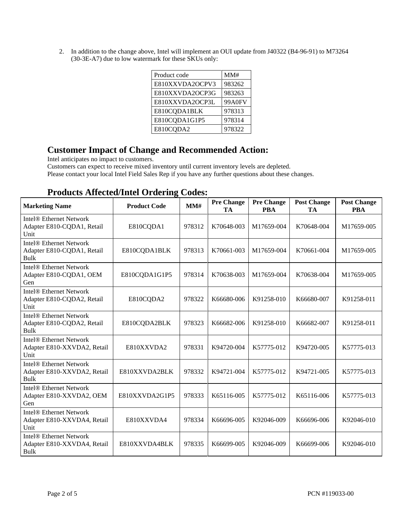2. In addition to the change above, Intel will implement an OUI update from J40322 (B4-96-91) to M73264 (30-3E-A7) due to low watermark for these SKUs only:

| Product code    | MM#    |
|-----------------|--------|
| E810XXVDA2OCPV3 | 983262 |
| E810XXVDA2OCP3G | 983263 |
| E810XXVDA2OCP3L | 99A0FV |
| E810CQDA1BLK    | 978313 |
| E810CQDA1G1P5   | 978314 |
| E810CQDA2       | 978322 |

## **Customer Impact of Change and Recommended Action:**

Intel anticipates no impact to customers.

Customers can expect to receive mixed inventory until current inventory levels are depleted.

Please contact your local Intel Field Sales Rep if you have any further questions about these changes.

| <b>Marketing Name</b>                                                             | <b>Product Code</b> | MM#    | <b>Pre Change</b><br>TA | <b>Pre Change</b><br><b>PBA</b> | <b>Post Change</b><br>TA | <b>Post Change</b><br><b>PBA</b> |
|-----------------------------------------------------------------------------------|---------------------|--------|-------------------------|---------------------------------|--------------------------|----------------------------------|
| Intel <sup>®</sup> Ethernet Network<br>Adapter E810-CQDA1, Retail<br>Unit         | E810CQDA1           | 978312 | K70648-003              | M17659-004                      | K70648-004               | M17659-005                       |
| <b>Intel® Ethernet Network</b><br>Adapter E810-CQDA1, Retail<br><b>Bulk</b>       | E810CQDA1BLK        | 978313 | K70661-003              | M17659-004                      | K70661-004               | M17659-005                       |
| Intel <sup>®</sup> Ethernet Network<br>Adapter E810-CQDA1, OEM<br>Gen             | E810CQDA1G1P5       | 978314 | K70638-003              | M17659-004                      | K70638-004               | M17659-005                       |
| <b>Intel® Ethernet Network</b><br>Adapter E810-CQDA2, Retail<br>Unit              | E810CQDA2           | 978322 | K66680-006              | K91258-010                      | K66680-007               | K91258-011                       |
| Intel <sup>®</sup> Ethernet Network<br>Adapter E810-CQDA2, Retail<br>Bulk         | E810CQDA2BLK        | 978323 | K66682-006              | K91258-010                      | K66682-007               | K91258-011                       |
| <b>Intel® Ethernet Network</b><br>Adapter E810-XXVDA2, Retail<br>Unit             | E810XXVDA2          | 978331 | K94720-004              | K57775-012                      | K94720-005               | K57775-013                       |
| Intel <sup>®</sup> Ethernet Network<br>Adapter E810-XXVDA2, Retail<br><b>Bulk</b> | E810XXVDA2BLK       | 978332 | K94721-004              | K57775-012                      | K94721-005               | K57775-013                       |
| <b>Intel® Ethernet Network</b><br>Adapter E810-XXVDA2, OEM<br>Gen                 | E810XXVDA2G1P5      | 978333 | K65116-005              | K57775-012                      | K65116-006               | K57775-013                       |
| <b>Intel® Ethernet Network</b><br>Adapter E810-XXVDA4, Retail<br>Unit             | E810XXVDA4          | 978334 | K66696-005              | K92046-009                      | K66696-006               | K92046-010                       |
| Intel <sup>®</sup> Ethernet Network<br>Adapter E810-XXVDA4, Retail<br>Bulk        | E810XXVDA4BLK       | 978335 | K66699-005              | K92046-009                      | K66699-006               | K92046-010                       |

### **Products Affected/Intel Ordering Codes:**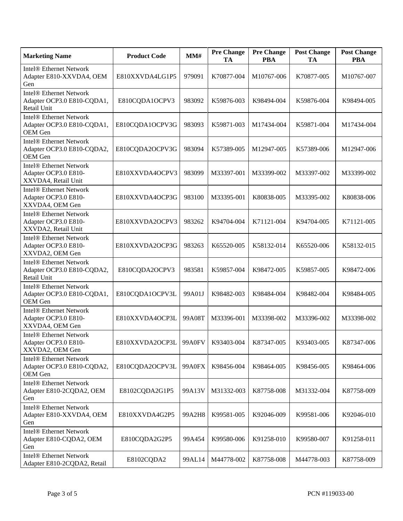| <b>Marketing Name</b>                                                         | <b>Product Code</b> | MM#           | <b>Pre Change</b><br>TA | <b>Pre Change</b><br><b>PBA</b> | <b>Post Change</b><br>TA | <b>Post Change</b><br><b>PBA</b> |
|-------------------------------------------------------------------------------|---------------------|---------------|-------------------------|---------------------------------|--------------------------|----------------------------------|
| <b>Intel® Ethernet Network</b><br>Adapter E810-XXVDA4, OEM<br>Gen             | E810XXVDA4LG1P5     | 979091        | K70877-004              | M10767-006                      | K70877-005               | M10767-007                       |
| <b>Intel® Ethernet Network</b><br>Adapter OCP3.0 E810-CQDA1,<br>Retail Unit   | E810CQDA1OCPV3      | 983092        | K59876-003              | K98494-004                      | K59876-004               | K98494-005                       |
| <b>Intel® Ethernet Network</b><br>Adapter OCP3.0 E810-CQDA1,<br>OEM Gen       | E810CQDA1OCPV3G     | 983093        | K59871-003              | M17434-004                      | K59871-004               | M17434-004                       |
| <b>Intel® Ethernet Network</b><br>Adapter OCP3.0 E810-CQDA2,<br>OEM Gen       | E810CQDA2OCPV3G     | 983094        | K57389-005              | M12947-005                      | K57389-006               | M12947-006                       |
| <b>Intel® Ethernet Network</b><br>Adapter OCP3.0 E810-<br>XXVDA4, Retail Unit | E810XXVDA4OCPV3     | 983099        | M33397-001              | M33399-002                      | M33397-002               | M33399-002                       |
| <b>Intel® Ethernet Network</b><br>Adapter OCP3.0 E810-<br>XXVDA4, OEM Gen     | E810XXVDA4OCP3G     | 983100        | M33395-001              | K80838-005                      | M33395-002               | K80838-006                       |
| <b>Intel® Ethernet Network</b><br>Adapter OCP3.0 E810-<br>XXVDA2, Retail Unit | E810XXVDA2OCPV3     | 983262        | K94704-004              | K71121-004                      | K94704-005               | K71121-005                       |
| <b>Intel® Ethernet Network</b><br>Adapter OCP3.0 E810-<br>XXVDA2, OEM Gen     | E810XXVDA2OCP3G     | 983263        | K65520-005              | K58132-014                      | K65520-006               | K58132-015                       |
| <b>Intel® Ethernet Network</b><br>Adapter OCP3.0 E810-CQDA2,<br>Retail Unit   | E810CQDA2OCPV3      | 983581        | K59857-004              | K98472-005                      | K59857-005               | K98472-006                       |
| <b>Intel® Ethernet Network</b><br>Adapter OCP3.0 E810-CQDA1,<br>OEM Gen       | E810CQDA1OCPV3L     | 99A01J        | K98482-003              | K98484-004                      | K98482-004               | K98484-005                       |
| <b>Intel® Ethernet Network</b><br>Adapter OCP3.0 E810-<br>XXVDA4, OEM Gen     | E810XXVDA4OCP3L     | 99A08T        | M33396-001              | M33398-002                      | M33396-002               | M33398-002                       |
| Intel® Ethernet Network<br>Adapter OCP3.0 E810-<br>XXVDA2, OEM Gen            | E810XXVDA2OCP3L     | 99A0FV        | K93403-004              | K87347-005                      | K93403-005               | K87347-006                       |
| <b>Intel® Ethernet Network</b><br>Adapter OCP3.0 E810-CQDA2,<br>OEM Gen       | E810CQDA2OCPV3L     | <b>99A0FX</b> | K98456-004              | K98464-005                      | K98456-005               | K98464-006                       |
| <b>Intel® Ethernet Network</b><br>Adapter E810-2CQDA2, OEM<br>Gen             | E8102CQDA2G1P5      | 99A13V        | M31332-003              | K87758-008                      | M31332-004               | K87758-009                       |
| <b>Intel® Ethernet Network</b><br>Adapter E810-XXVDA4, OEM<br>Gen             | E810XXVDA4G2P5      | 99A2H8        | K99581-005              | K92046-009                      | K99581-006               | K92046-010                       |
| <b>Intel® Ethernet Network</b><br>Adapter E810-CQDA2, OEM<br>Gen              | E810CQDA2G2P5       | 99A454        | K99580-006              | K91258-010                      | K99580-007               | K91258-011                       |
| <b>Intel® Ethernet Network</b><br>Adapter E810-2CQDA2, Retail                 | E8102CQDA2          | 99AL14        | M44778-002              | K87758-008                      | M44778-003               | K87758-009                       |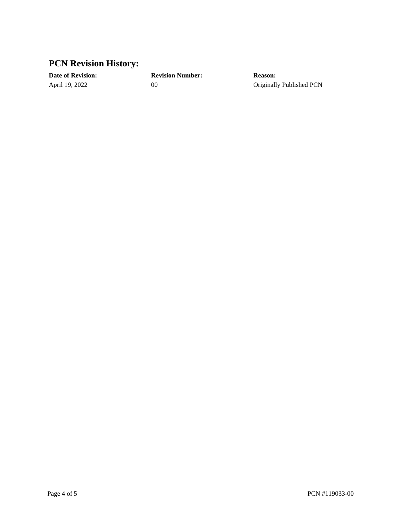## **PCN Revision History:**

**Date of Revision: Revision Number: Reason:**

April 19, 2022 00 00 Originally Published PCN